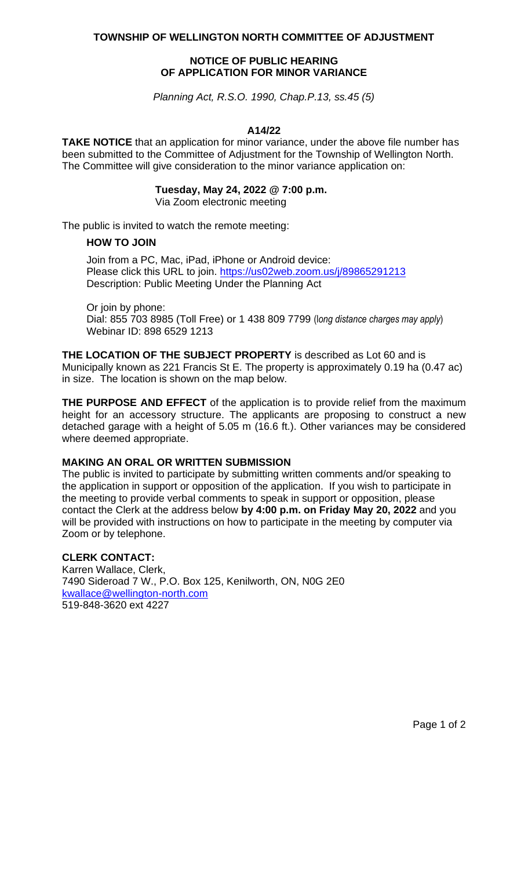**TOWNSHIP OF WELLINGTON NORTH COMMITTEE OF ADJUSTMENT**

# **NOTICE OF PUBLIC HEARING OF APPLICATION FOR MINOR VARIANCE**

*Planning Act, R.S.O. 1990, Chap.P.13, ss.45 (5)*

#### **A14/22**

**TAKE NOTICE** that an application for minor variance, under the above file number has been submitted to the Committee of Adjustment for the Township of Wellington North. The Committee will give consideration to the minor variance application on:

### **Tuesday, May 24, 2022 @ 7:00 p.m.**

Via Zoom electronic meeting

The public is invited to watch the remote meeting:

#### **HOW TO JOIN**

Join from a PC, Mac, iPad, iPhone or Android device: Please click this URL to join. <https://us02web.zoom.us/j/89865291213> Description: Public Meeting Under the Planning Act

Or join by phone: Dial: 855 703 8985 (Toll Free) or 1 438 809 7799 (l*ong distance charges may apply*) Webinar ID: 898 6529 1213

**THE LOCATION OF THE SUBJECT PROPERTY** is described as Lot 60 and is Municipally known as 221 Francis St E. The property is approximately 0.19 ha (0.47 ac) in size. The location is shown on the map below.

**THE PURPOSE AND EFFECT** of the application is to provide relief from the maximum height for an accessory structure. The applicants are proposing to construct a new detached garage with a height of 5.05 m (16.6 ft.). Other variances may be considered where deemed appropriate.

### **MAKING AN ORAL OR WRITTEN SUBMISSION**

The public is invited to participate by submitting written comments and/or speaking to the application in support or opposition of the application. If you wish to participate in the meeting to provide verbal comments to speak in support or opposition, please contact the Clerk at the address below **by 4:00 p.m. on Friday May 20, 2022** and you will be provided with instructions on how to participate in the meeting by computer via Zoom or by telephone.

# **CLERK CONTACT:**

Karren Wallace, Clerk, 7490 Sideroad 7 W., P.O. Box 125, Kenilworth, ON, N0G 2E0 [kwallace@wellington-north.com](mailto:kwallace@wellington-north.com) 519-848-3620 ext 4227